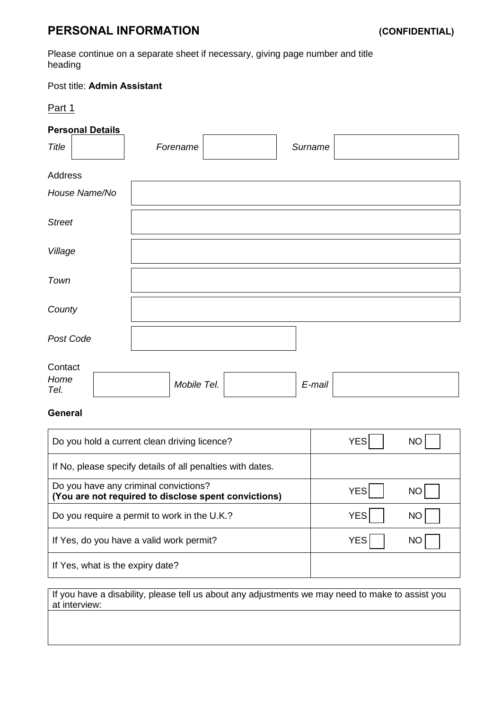# **PERSONAL INFORMATION (CONFIDENTIAL)**

Please continue on a separate sheet if necessary, giving page number and title heading

# Post title: **Admin Assistant**

## Part 1

# **Personal Details**

| Title         |               |  | Forename    |  | Surname |  |
|---------------|---------------|--|-------------|--|---------|--|
| Address       |               |  |             |  |         |  |
|               | House Name/No |  |             |  |         |  |
| <b>Street</b> |               |  |             |  |         |  |
| Village       |               |  |             |  |         |  |
| Town          |               |  |             |  |         |  |
| County        |               |  |             |  |         |  |
| Post Code     |               |  |             |  |         |  |
| Contact       |               |  |             |  |         |  |
| Home<br>Tel.  |               |  | Mobile Tel. |  | E-mail  |  |

# **General**

| Do you hold a current clean driving licence?                                                  | YES        | NC |
|-----------------------------------------------------------------------------------------------|------------|----|
| If No, please specify details of all penalties with dates.                                    |            |    |
| Do you have any criminal convictions?<br>(You are not required to disclose spent convictions) | <b>YES</b> | NC |
| Do you require a permit to work in the U.K.?                                                  | <b>YES</b> | NC |
| If Yes, do you have a valid work permit?                                                      | <b>YES</b> | NC |
| If Yes, what is the expiry date?                                                              |            |    |

If you have a disability, please tell us about any adjustments we may need to make to assist you at interview: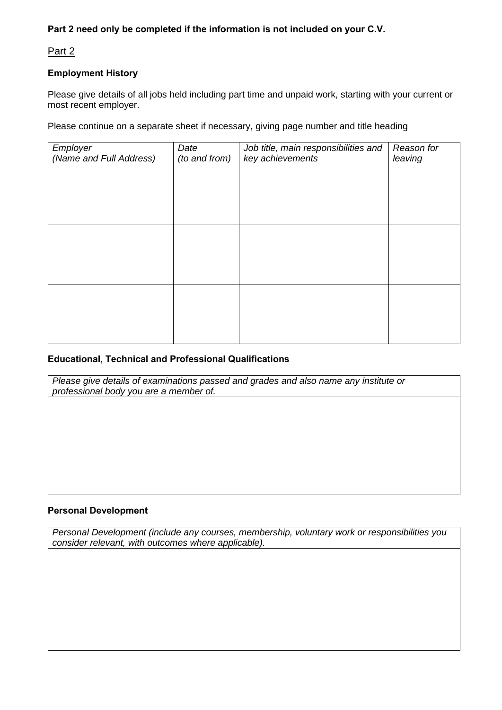# **Part 2 need only be completed if the information is not included on your C.V.**

### Part 2

#### **Employment History**

Please give details of all jobs held including part time and unpaid work, starting with your current or most recent employer.

Please continue on a separate sheet if necessary, giving page number and title heading

| Employer<br>(Name and Full Address) | Date<br>(to and from) | Job title, main responsibilities and<br>key achievements | Reason for<br>leaving |
|-------------------------------------|-----------------------|----------------------------------------------------------|-----------------------|
|                                     |                       |                                                          |                       |
|                                     |                       |                                                          |                       |
|                                     |                       |                                                          |                       |
|                                     |                       |                                                          |                       |
|                                     |                       |                                                          |                       |
|                                     |                       |                                                          |                       |
|                                     |                       |                                                          |                       |
|                                     |                       |                                                          |                       |
|                                     |                       |                                                          |                       |

#### **Educational, Technical and Professional Qualifications**

*Please give details of examinations passed and grades and also name any institute or professional body you are a member of.*

#### **Personal Development**

*Personal Development (include any courses, membership, voluntary work or responsibilities you consider relevant, with outcomes where applicable).*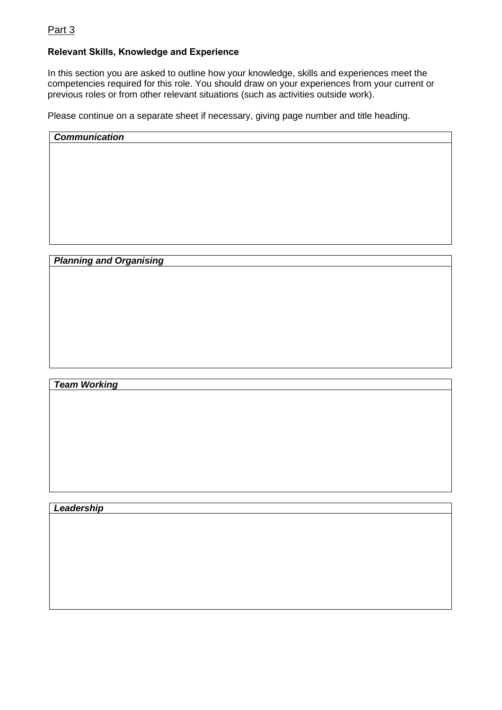# Part 3

## **Relevant Skills, Knowledge and Experience**

In this section you are asked to outline how your knowledge, skills and experiences meet the competencies required for this role. You should draw on your experiences from your current or previous roles or from other relevant situations (such as activities outside work).

Please continue on a separate sheet if necessary, giving page number and title heading.

*Communication*

*Planning and Organising*

*Team Working*

*Leadership*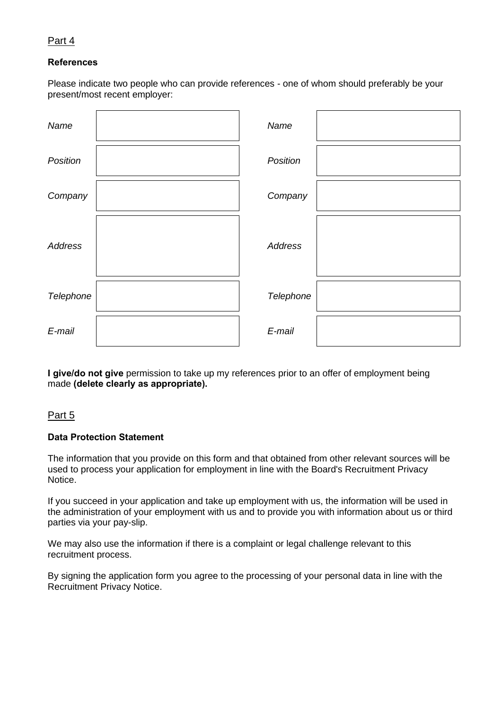### Part 4

#### **References**

Please indicate two people who can provide references - one of whom should preferably be your present/most recent employer:

| Name      | Name      |  |
|-----------|-----------|--|
| Position  | Position  |  |
| Company   | Company   |  |
| Address   | Address   |  |
| Telephone | Telephone |  |
| E-mail    | E-mail    |  |

**I give/do not give** permission to take up my references prior to an offer of employment being made **(delete clearly as appropriate).**

#### Part 5

#### **Data Protection Statement**

The information that you provide on this form and that obtained from other relevant sources will be used to process your application for employment in line with the Board's Recruitment Privacy Notice.

If you succeed in your application and take up employment with us, the information will be used in the administration of your employment with us and to provide you with information about us or third parties via your pay-slip.

We may also use the information if there is a complaint or legal challenge relevant to this recruitment process.

By signing the application form you agree to the processing of your personal data in line with the Recruitment Privacy Notice.